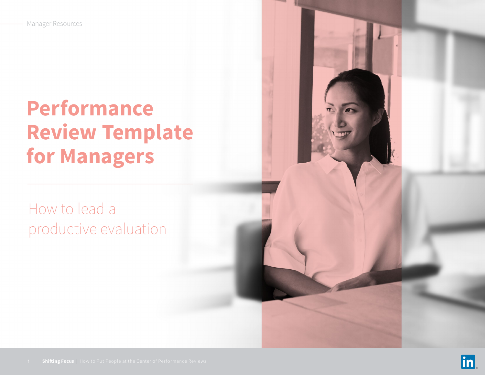# **Performance Review Template for Managers**

# How to lead a productive evaluation

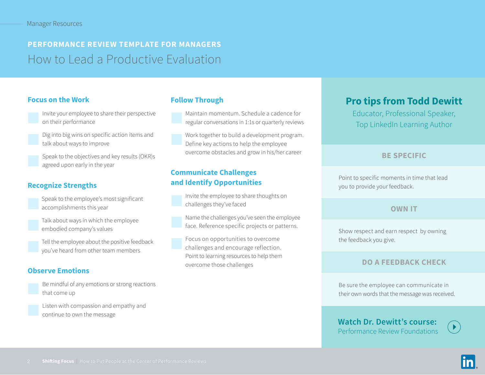## **PERFORMANCE REVIEW TEMPLATE FOR MANAGERS** How to Lead a Productive Evaluation

#### **Focus on the Work**



Invite your employee to share their perspective on their performance



- Dig into big wins on specific action items and talk about ways to improve
- Speak to the objectives and key results (OKR)s agreed upon early in the year

#### **Recognize Strengths**

- Speak to the employee's most significant accomplishments this year
- Talk about ways in which the employee embodied company's values
- Tell the employee about the positive feedback you've heard from other team members

#### **Observe Emotions**

Be mindful of any emotions or strong reactions that come up

Listen with compassion and empathy and continue to own the message

#### **Follow Through**



Work together to build a development program. Define key actions to help the employee overcome obstacles and grow in his/her career

#### **Communicate Challenges and Identify Opportunities**



Name the challenges you've seen the employee face. Reference specific projects or patterns.

Focus on opportunities to overcome challenges and encourage reflection. Point to learning resources to help them overcome those challenges

### **Pro tips from Todd Dewitt**

Educator, Professional Speaker, Top LinkedIn Learning Author

#### **BE SPECIFIC**

Point to specific moments in time that lead you to provide your feedback.

#### **OWN IT**

Show respect and earn respect by owning the feedback you give.

#### **DO A FEEDBACK CHECK**

Be sure the employee can communicate in their own words that the message was received.

**[Watch Dr. Dewitt's course:](https://www.linkedin.com/learning/performance-review-foundations/understanding-the-performance-cycle)**  [Performance Review Foundations](https://www.linkedin.com/learning/performance-review-foundations/understanding-the-performance-cycle)